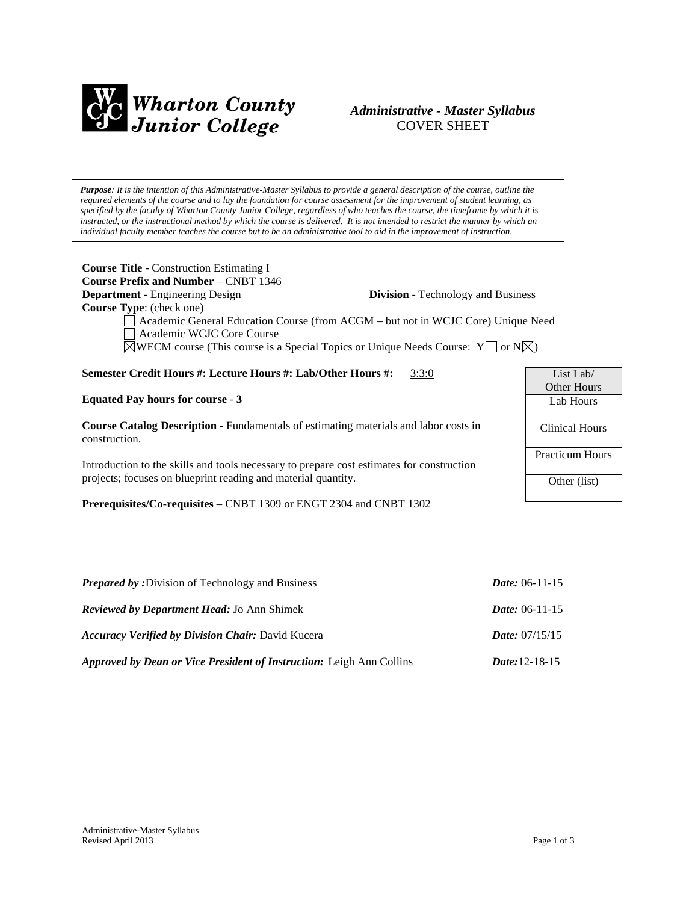

# *Administrative - Master Syllabus*  COVER SHEET

*Purpose: It is the intention of this Administrative-Master Syllabus to provide a general description of the course, outline the required elements of the course and to lay the foundation for course assessment for the improvement of student learning, as specified by the faculty of Wharton County Junior College, regardless of who teaches the course, the timeframe by which it is instructed, or the instructional method by which the course is delivered. It is not intended to restrict the manner by which an individual faculty member teaches the course but to be an administrative tool to aid in the improvement of instruction.*

**Course Title** - Construction Estimating I **Course Prefix and Number** – CNBT 1346 **Department** - Engineering Design **Division** - Technology and Business **Course Type**: (check one) Academic General Education Course (from ACGM – but not in WCJC Core) Unique Need Academic WCJC Core Course

 $\boxtimes$ WECM course (This course is a Special Topics or Unique Needs Course: Y or N $\boxtimes$ )

## **Semester Credit Hours #: Lecture Hours #: Lab/Other Hours #:** 3:3:0

#### **Equated Pay hours for course** - **3**

**Course Catalog Description** - Fundamentals of estimating materials and labor costs in construction.

Introduction to the skills and tools necessary to prepare cost estimates for construction projects; focuses on blueprint reading and material quantity.

**Prerequisites/Co-requisites** – CNBT 1309 or ENGT 2304 and CNBT 1302

| List Lab $/$           |  |
|------------------------|--|
| <b>Other Hours</b>     |  |
| Lab Hours              |  |
|                        |  |
| <b>Clinical Hours</b>  |  |
|                        |  |
| <b>Practicum Hours</b> |  |
|                        |  |
| Other (list)           |  |
|                        |  |

| <b>Prepared by:</b> Division of Technology and Business                     | <i>Date:</i> $06-11-15$      |
|-----------------------------------------------------------------------------|------------------------------|
| <b>Reviewed by Department Head: Jo Ann Shimek</b>                           | <i>Date:</i> $06-11-15$      |
| <b>Accuracy Verified by Division Chair: David Kucera</b>                    | <i>Date:</i> $07/15/15$      |
| <b>Approved by Dean or Vice President of Instruction: Leigh Ann Collins</b> | <i>Date</i> : $12 - 18 - 15$ |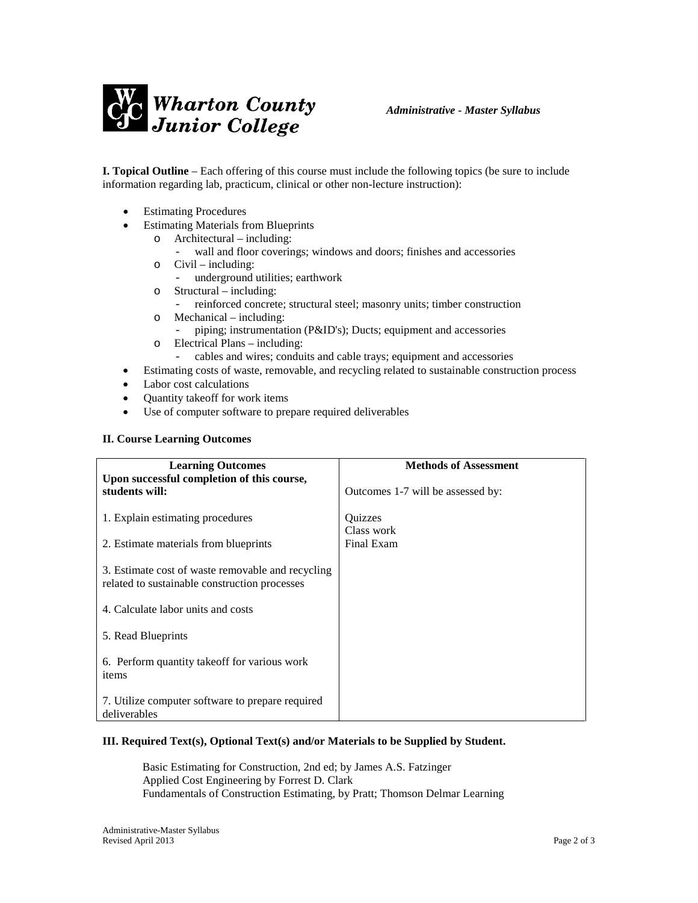

**I. Topical Outline** – Each offering of this course must include the following topics (be sure to include information regarding lab, practicum, clinical or other non-lecture instruction):

- **Estimating Procedures**
- **Estimating Materials from Blueprints** 
	- o Architectural including:
		- wall and floor coverings; windows and doors; finishes and accessories
	- o Civil including:
		- underground utilities; earthwork
	- o Structural including:
		- reinforced concrete; structural steel; masonry units; timber construction
	- o Mechanical including:
		- piping; instrumentation (P&ID's); Ducts; equipment and accessories
	- o Electrical Plans including:
		- cables and wires; conduits and cable trays; equipment and accessories
- Estimating costs of waste, removable, and recycling related to sustainable construction process
- Labor cost calculations
- Quantity takeoff for work items
- Use of computer software to prepare required deliverables

#### **II. Course Learning Outcomes**

| <b>Learning Outcomes</b><br>Upon successful completion of this course,                             | <b>Methods of Assessment</b>      |
|----------------------------------------------------------------------------------------------------|-----------------------------------|
| students will:                                                                                     | Outcomes 1-7 will be assessed by: |
| 1. Explain estimating procedures                                                                   | <b>Ouizzes</b><br>Class work      |
| 2. Estimate materials from blueprints                                                              | Final Exam                        |
| 3. Estimate cost of waste removable and recycling<br>related to sustainable construction processes |                                   |
| 4. Calculate labor units and costs                                                                 |                                   |
| 5. Read Blueprints                                                                                 |                                   |
| 6. Perform quantity take of for various work<br>items                                              |                                   |
| 7. Utilize computer software to prepare required<br>deliverables                                   |                                   |

#### **III. Required Text(s), Optional Text(s) and/or Materials to be Supplied by Student.**

 Basic Estimating for Construction, 2nd ed; by James A.S. Fatzinger Applied Cost Engineering by Forrest D. Clark Fundamentals of Construction Estimating, by Pratt; Thomson Delmar Learning